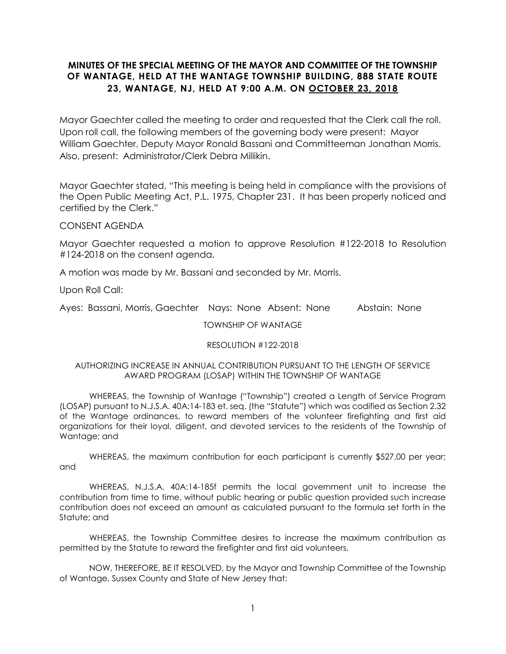## **MINUTES OF THE SPECIAL MEETING OF THE MAYOR AND COMMITTEE OF THE TOWNSHIP OF WANTAGE, HELD AT THE WANTAGE TOWNSHIP BUILDING, 888 STATE ROUTE 23, WANTAGE, NJ, HELD AT 9:00 A.M. ON OCTOBER 23, 2018**

Mayor Gaechter called the meeting to order and requested that the Clerk call the roll. Upon roll call, the following members of the governing body were present: Mayor William Gaechter, Deputy Mayor Ronald Bassani and Committeeman Jonathan Morris. Also, present: Administrator/Clerk Debra Millikin.

Mayor Gaechter stated, "This meeting is being held in compliance with the provisions of the Open Public Meeting Act, P.L. 1975, Chapter 231. It has been properly noticed and certified by the Clerk."

CONSENT AGENDA

Mayor Gaechter requested a motion to approve Resolution #122-2018 to Resolution #124-2018 on the consent agenda.

A motion was made by Mr. Bassani and seconded by Mr. Morris.

Upon Roll Call:

Ayes: Bassani, Morris, Gaechter Nays: None Absent: None Abstain: None

TOWNSHIP OF WANTAGE

#### RESOLUTION #122-2018

#### AUTHORIZING INCREASE IN ANNUAL CONTRIBUTION PURSUANT TO THE LENGTH OF SERVICE AWARD PROGRAM (LOSAP) WITHIN THE TOWNSHIP OF WANTAGE

WHEREAS, the Township of Wantage ("Township") created a Length of Service Program (LOSAP) pursuant to N.J.S.A. 40A:14-183 et. seq. (the "Statute") which was codified as Section 2.32 of the Wantage ordinances, to reward members of the volunteer firefighting and first aid organizations for their loyal, diligent, and devoted services to the residents of the Township of Wantage; and

WHEREAS, the maximum contribution for each participant is currently \$527.00 per year; and

WHEREAS, N.J.S.A. 40A:14-185f permits the local government unit to increase the contribution from time to time, without public hearing or public question provided such increase contribution does not exceed an amount as calculated pursuant to the formula set forth in the Statute; and

WHEREAS, the Township Committee desires to increase the maximum contribution as permitted by the Statute to reward the firefighter and first aid volunteers.

NOW, THEREFORE, BE IT RESOLVED, by the Mayor and Township Committee of the Township of Wantage, Sussex County and State of New Jersey that: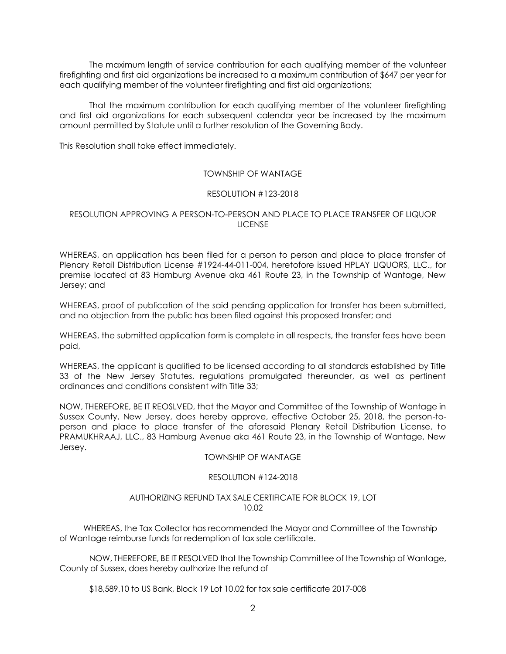The maximum length of service contribution for each qualifying member of the volunteer firefighting and first aid organizations be increased to a maximum contribution of \$647 per year for each qualifying member of the volunteer firefighting and first aid organizations;

That the maximum contribution for each qualifying member of the volunteer firefighting and first aid organizations for each subsequent calendar year be increased by the maximum amount permitted by Statute until a further resolution of the Governing Body.

This Resolution shall take effect immediately.

#### TOWNSHIP OF WANTAGE

#### RESOLUTION #123-2018

#### RESOLUTION APPROVING A PERSON-TO-PERSON AND PLACE TO PLACE TRANSFER OF LIQUOR LICENSE

WHEREAS, an application has been filed for a person to person and place to place transfer of Plenary Retail Distribution License #1924-44-011-004, heretofore issued HPLAY LIQUORS, LLC., for premise located at 83 Hamburg Avenue aka 461 Route 23, in the Township of Wantage, New Jersey; and

WHEREAS, proof of publication of the said pending application for transfer has been submitted, and no objection from the public has been filed against this proposed transfer; and

WHEREAS, the submitted application form is complete in all respects, the transfer fees have been paid,

WHEREAS, the applicant is qualified to be licensed according to all standards established by Title 33 of the New Jersey Statutes, regulations promulgated thereunder, as well as pertinent ordinances and conditions consistent with Title 33;

NOW, THEREFORE, BE IT REOSLVED, that the Mayor and Committee of the Township of Wantage in Sussex County, New Jersey, does hereby approve, effective October 25, 2018, the person-toperson and place to place transfer of the aforesaid Plenary Retail Distribution License, to PRAMUKHRAAJ, LLC., 83 Hamburg Avenue aka 461 Route 23, in the Township of Wantage, New Jersey.

#### TOWNSHIP OF WANTAGE

#### RESOLUTION #124-2018

#### AUTHORIZING REFUND TAX SALE CERTIFICATE FOR BLOCK 19, LOT 10.02

 WHEREAS, the Tax Collector has recommended the Mayor and Committee of the Township of Wantage reimburse funds for redemption of tax sale certificate.

NOW, THEREFORE, BE IT RESOLVED that the Township Committee of the Township of Wantage, County of Sussex, does hereby authorize the refund of

\$18,589.10 to US Bank, Block 19 Lot 10.02 for tax sale certificate 2017-008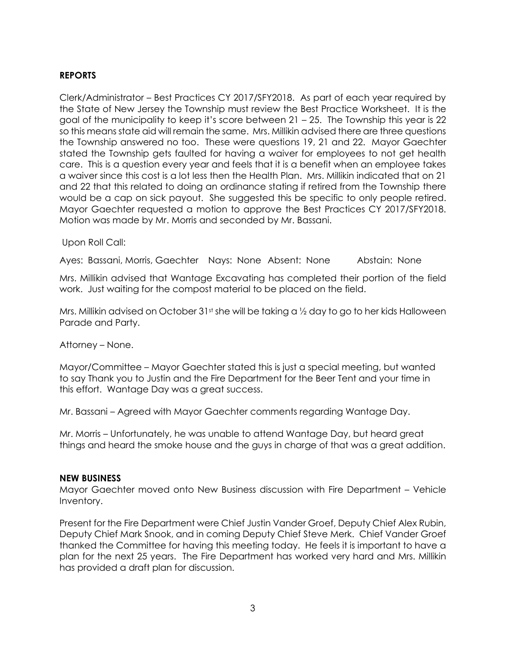## **REPORTS**

Clerk/Administrator – Best Practices CY 2017/SFY2018. As part of each year required by the State of New Jersey the Township must review the Best Practice Worksheet. It is the goal of the municipality to keep it's score between 21 – 25. The Township this year is 22 so this means state aid will remain the same. Mrs. Millikin advised there are three questions the Township answered no too. These were questions 19, 21 and 22. Mayor Gaechter stated the Township gets faulted for having a waiver for employees to not get health care. This is a question every year and feels that it is a benefit when an employee takes a waiver since this cost is a lot less then the Health Plan. Mrs. Millikin indicated that on 21 and 22 that this related to doing an ordinance stating if retired from the Township there would be a cap on sick payout. She suggested this be specific to only people retired. Mayor Gaechter requested a motion to approve the Best Practices CY 2017/SFY2018. Motion was made by Mr. Morris and seconded by Mr. Bassani.

### Upon Roll Call:

Ayes: Bassani, Morris, Gaechter Nays: None Absent: None Abstain: None

Mrs. Millikin advised that Wantage Excavating has completed their portion of the field work. Just waiting for the compost material to be placed on the field.

Mrs. Millikin advised on October 31st she will be taking a  $\frac{1}{2}$  day to go to her kids Halloween Parade and Party.

### Attorney – None.

Mayor/Committee – Mayor Gaechter stated this is just a special meeting, but wanted to say Thank you to Justin and the Fire Department for the Beer Tent and your time in this effort. Wantage Day was a great success.

Mr. Bassani – Agreed with Mayor Gaechter comments regarding Wantage Day.

Mr. Morris – Unfortunately, he was unable to attend Wantage Day, but heard great things and heard the smoke house and the guys in charge of that was a great addition.

#### **NEW BUSINESS**

Mayor Gaechter moved onto New Business discussion with Fire Department – Vehicle Inventory.

Present for the Fire Department were Chief Justin Vander Groef, Deputy Chief Alex Rubin, Deputy Chief Mark Snook, and in coming Deputy Chief Steve Merk. Chief Vander Groef thanked the Committee for having this meeting today. He feels it is important to have a plan for the next 25 years. The Fire Department has worked very hard and Mrs. Millikin has provided a draft plan for discussion.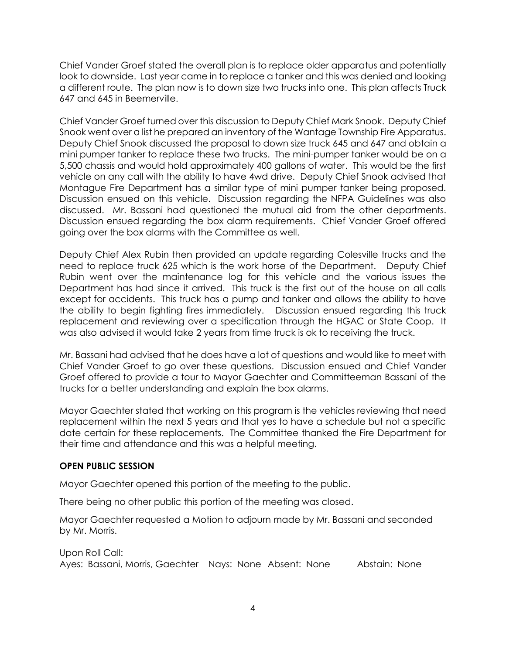Chief Vander Groef stated the overall plan is to replace older apparatus and potentially look to downside. Last year came in to replace a tanker and this was denied and looking a different route. The plan now is to down size two trucks into one. This plan affects Truck 647 and 645 in Beemerville.

Chief Vander Groef turned over this discussion to Deputy Chief Mark Snook. Deputy Chief Snook went over a list he prepared an inventory of the Wantage Township Fire Apparatus. Deputy Chief Snook discussed the proposal to down size truck 645 and 647 and obtain a mini pumper tanker to replace these two trucks. The mini-pumper tanker would be on a 5,500 chassis and would hold approximately 400 gallons of water. This would be the first vehicle on any call with the ability to have 4wd drive. Deputy Chief Snook advised that Montague Fire Department has a similar type of mini pumper tanker being proposed. Discussion ensued on this vehicle. Discussion regarding the NFPA Guidelines was also discussed. Mr. Bassani had questioned the mutual aid from the other departments. Discussion ensued regarding the box alarm requirements. Chief Vander Groef offered going over the box alarms with the Committee as well.

Deputy Chief Alex Rubin then provided an update regarding Colesville trucks and the need to replace truck 625 which is the work horse of the Department. Deputy Chief Rubin went over the maintenance log for this vehicle and the various issues the Department has had since it arrived. This truck is the first out of the house on all calls except for accidents. This truck has a pump and tanker and allows the ability to have the ability to begin fighting fires immediately. Discussion ensued regarding this truck replacement and reviewing over a specification through the HGAC or State Coop. It was also advised it would take 2 years from time truck is ok to receiving the truck.

Mr. Bassani had advised that he does have a lot of questions and would like to meet with Chief Vander Groef to go over these questions. Discussion ensued and Chief Vander Groef offered to provide a tour to Mayor Gaechter and Committeeman Bassani of the trucks for a better understanding and explain the box alarms.

Mayor Gaechter stated that working on this program is the vehicles reviewing that need replacement within the next 5 years and that yes to have a schedule but not a specific date certain for these replacements. The Committee thanked the Fire Department for their time and attendance and this was a helpful meeting.

# **OPEN PUBLIC SESSION**

Mayor Gaechter opened this portion of the meeting to the public.

There being no other public this portion of the meeting was closed.

Mayor Gaechter requested a Motion to adjourn made by Mr. Bassani and seconded by Mr. Morris.

Upon Roll Call: Ayes: Bassani, Morris, Gaechter Nays: None Absent: None Abstain: None